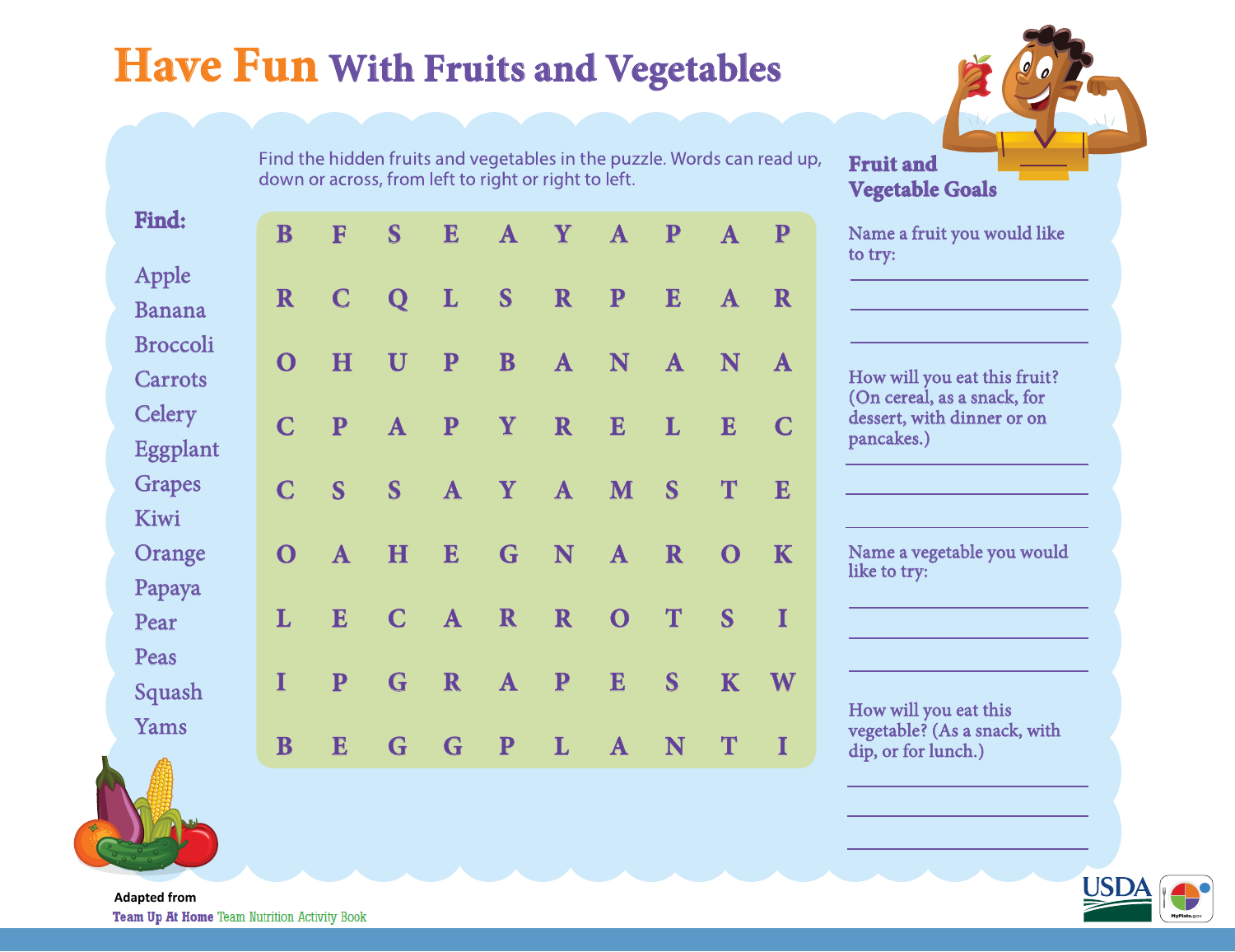## **Have Fun With Fruits and Vegetables**

**E**

**L**

**P**

**P**

**A**

**E**

**A**

**R**

**G**

Find the hidden fruits and vegetables in the puzzle. Words can read up, down or across, from left to right or right to left.

**Y**

**A**

**P**

**A**

**P**

**R**

**A**

**C**

**E**

**K**

**I**

**W**

**I**

**A**

**N**

**E**

**T**

**O**

**S**

**K**

**T**

**E**

**A**

**L**

**S**

**R**

**T**

**S**

**N**

**P**

**N**

**E**

**M**

**A**

**O**

**E**

**A**

**R**

**A**

**R**

**A**

**N**

**R**

**P**

**L**

**A**

**S**

**B**

**Y**

**Y**

**G**

**R**

**A**

**P**



|         |  | Name a fruit you would like |  |
|---------|--|-----------------------------|--|
| to try: |  |                             |  |

How will you eat this fruit? (On cereal, as a snack, for dessert, with dinner or on pancakes.)

Name a vegetable you would like to try:

How will you eat this vegetable? (As a snack, with dip, or for lunch.)



|--|

Find:

**B**

**F**

**S**

**Q**

**U**

**A**

**S**

**H**

**C**

**G**

**G**

**C**

**H**

**P**

**S**

**A**

**E**

**P**

**E**

**R**

**O**

**C**

**C**

**O**

**L**

**I**

**B**

Apple

Banana

Broccoli

**Carrots** 

**Celery** 

Grapes

Orange

Papaya

Pear

Peas

Squash

Yams

Kiwi

Eggplant